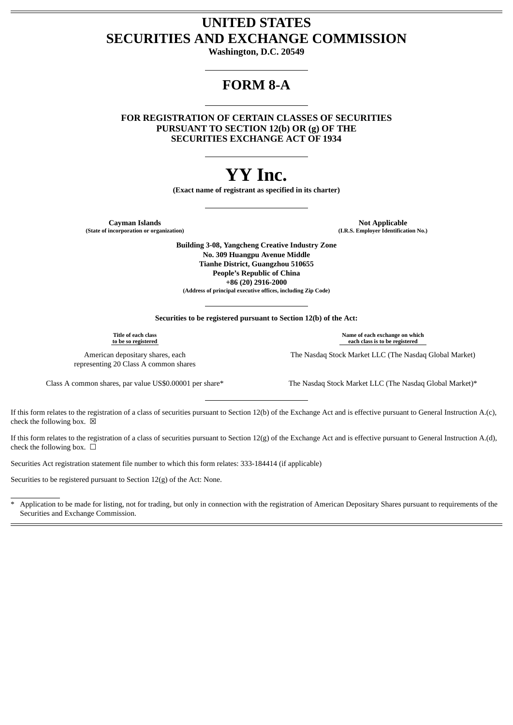### **UNITED STATES SECURITIES AND EXCHANGE COMMISSION**

**Washington, D.C. 20549**

## **FORM 8-A**

**FOR REGISTRATION OF CERTAIN CLASSES OF SECURITIES PURSUANT TO SECTION 12(b) OR (g) OF THE SECURITIES EXCHANGE ACT OF 1934**

# **YY Inc.**

**(Exact name of registrant as specified in its charter)**

**Cayman Islands Not Applicable (State of incorporation or organization) (I.R.S. Employer Identification No.)**

**Building 3-08, Yangcheng Creative Industry Zone No. 309 Huangpu Avenue Middle Tianhe District, Guangzhou 510655 People's Republic of China +86 (20) 2916-2000 (Address of principal executive offices, including Zip Code)**

**Securities to be registered pursuant to Section 12(b) of the Act:**

**Title of each class to be so registered**

American depositary shares, each representing 20 Class A common shares

Class A common shares, par value US\$0.00001 per share\* The Nasdaq Stock Market LLC (The Nasdaq Global Market)\*

If this form relates to the registration of a class of securities pursuant to Section 12(b) of the Exchange Act and is effective pursuant to General Instruction A.(c), check the following box.  $\boxtimes$ 

If this form relates to the registration of a class of securities pursuant to Section 12(g) of the Exchange Act and is effective pursuant to General Instruction A.(d), check the following box.  $\Box$ 

Securities Act registration statement file number to which this form relates: 333-184414 (if applicable)

Securities to be registered pursuant to Section 12(g) of the Act: None.

Application to be made for listing, not for trading, but only in connection with the registration of American Depositary Shares pursuant to requirements of the Securities and Exchange Commission.

**Name of each exchange on which each class is to be registered**

The Nasdaq Stock Market LLC (The Nasdaq Global Market)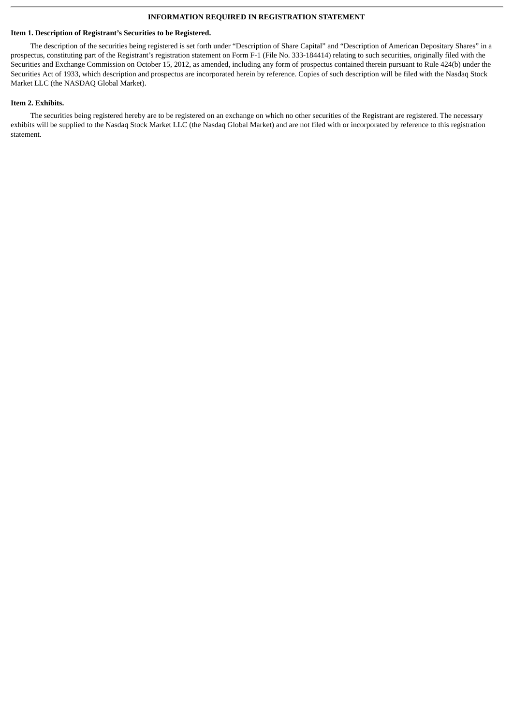#### **INFORMATION REQUIRED IN REGISTRATION STATEMENT**

#### **Item 1. Description of Registrant's Securities to be Registered.**

The description of the securities being registered is set forth under "Description of Share Capital" and "Description of American Depositary Shares" in a prospectus, constituting part of the Registrant's registration statement on Form F-1 (File No. 333-184414) relating to such securities, originally filed with the Securities and Exchange Commission on October 15, 2012, as amended, including any form of prospectus contained therein pursuant to Rule 424(b) under the Securities Act of 1933, which description and prospectus are incorporated herein by reference. Copies of such description will be filed with the Nasdaq Stock Market LLC (the NASDAQ Global Market).

#### **Item 2. Exhibits.**

The securities being registered hereby are to be registered on an exchange on which no other securities of the Registrant are registered. The necessary exhibits will be supplied to the Nasdaq Stock Market LLC (the Nasdaq Global Market) and are not filed with or incorporated by reference to this registration statement.